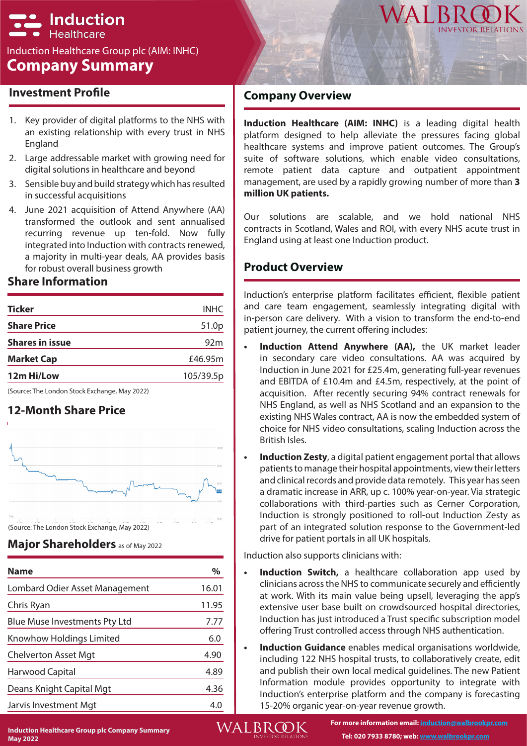# **\_ Induction Healthcare**

### Induction Healthcare Group plc (AIM: INHC) **Company Summary**



### **Investment Profile**

- 1. Key provider of digital platforms to the NHS with an existing relationship with every trust in NHS England
- 2. Large addressable market with growing need for digital solutions in healthcare and beyond
- 3. Sensible buy and build strategy which has resulted in successful acquisitions
- 4. June 2021 acquisition of Attend Anywhere (AA) transformed the outlook and sent annualised recurring revenue up ten-fold. Now fully integrated into Induction with contracts renewed, a majority in multi-year deals, AA provides basis for robust overall business growth

### **Share Information**

| <b>Ticker</b>          | <b>INHC</b> |
|------------------------|-------------|
| <b>Share Price</b>     | 51.0p       |
| <b>Shares in issue</b> | 92m         |
| <b>Market Cap</b>      | £46.95m     |
| 12m Hi/Low             | 105/39.5p   |
|                        |             |

(Source: The London Stock Exchange, May 2022)

## **12-Month Share Price**





| <b>Name</b>                          | $\%$  |
|--------------------------------------|-------|
| Lombard Odier Asset Management       | 16.01 |
| Chris Ryan                           | 11.95 |
| <b>Blue Muse Investments Pty Ltd</b> | 7.77  |
| Knowhow Holdings Limited             | 6.0   |
| <b>Chelverton Asset Mgt</b>          | 4.90  |
| Harwood Capital                      | 4.89  |
| Deans Knight Capital Mgt             | 4.36  |
| Jarvis Investment Mgt                | 4.0   |

### **Company Overview**

**Induction Healthcare (AIM: INHC)** is a leading digital health platform designed to help alleviate the pressures facing global healthcare systems and improve patient outcomes. The Group's suite of software solutions, which enable video consultations, remote patient data capture and outpatient appointment management, are used by a rapidly growing number of more than **3 million UK patients.** 

Our solutions are scalable, and we hold national NHS contracts in Scotland, Wales and ROI, with every NHS acute trust in England using at least one Induction product.

### **Product Overview**

Induction's enterprise platform facilitates efficient, flexible patient and care team engagement, seamlessly integrating digital with in-person care delivery. With a vision to transform the end-to-end patient journey, the current offering includes:

- **• Induction Attend Anywhere (AA),** the UK market leader in secondary care video consultations. AA was acquired by Induction in June 2021 for £25.4m, generating full-year revenues and EBITDA of £10.4m and £4.5m, respectively, at the point of acquisition. After recently securing 94% contract renewals for NHS England, as well as NHS Scotland and an expansion to the existing NHS Wales contract, AA is now the embedded system of choice for NHS video consultations, scaling Induction across the British Isles.
- **• Induction Zesty**, a digital patient engagement portal that allows patients to manage their hospital appointments, view their letters and clinical records and provide data remotely. This year has seen a dramatic increase in ARR, up c. 100% year-on-year. Via strategic collaborations with third-parties such as Cerner Corporation, Induction is strongly positioned to roll-out Induction Zesty as part of an integrated solution response to the Government-led drive for patient portals in all UK hospitals.

Induction also supports clinicians with:

- **Induction Switch,** a healthcare collaboration app used by clinicians across the NHS to communicate securely and efficiently at work. With its main value being upsell, leveraging the app's extensive user base built on crowdsourced hospital directories, Induction has just introduced a Trust specific subscription model offering Trust controlled access through NHS authentication.
- **• Induction Guidance** enables medical organisations worldwide, including 122 NHS hospital trusts, to collaboratively create, edit and publish their own local medical guidelines. The new Patient Information module provides opportunity to integrate with Induction's enterprise platform and the company is forecasting 15-20% organic year-on-year revenue growth.